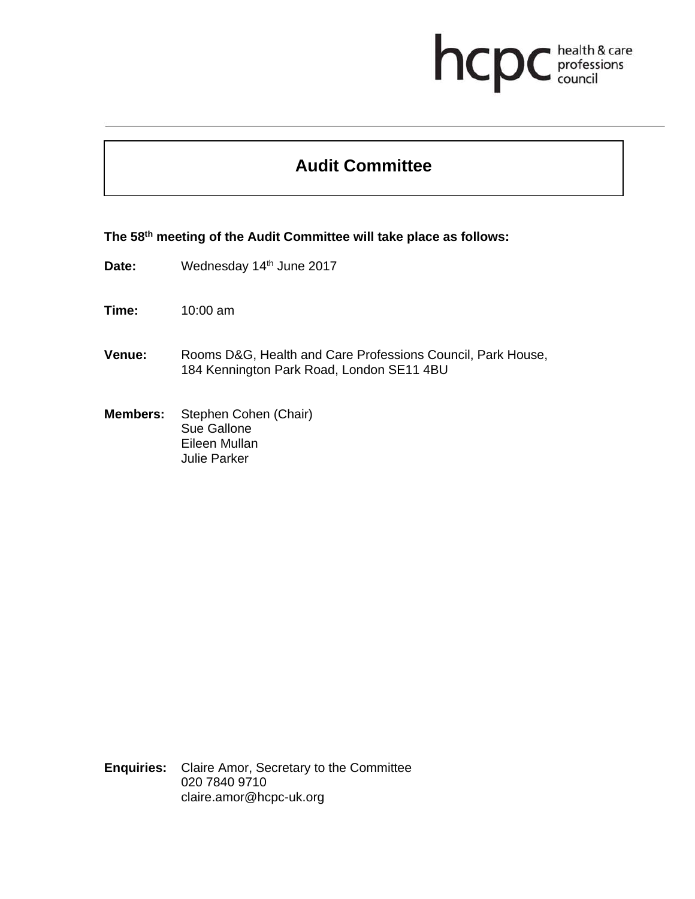## health & care<br>professions<br>council hcp

## **Audit Committee**

**The 58th meeting of the Audit Committee will take place as follows:** 

- Date: Wednesday 14<sup>th</sup> June 2017
- **Time:** 10:00 am
- **Venue:** Rooms D&G, Health and Care Professions Council, Park House, 184 Kennington Park Road, London SE11 4BU
- **Members:** Stephen Cohen (Chair) Sue Gallone Eileen Mullan Julie Parker

**Enquiries:** Claire Amor, Secretary to the Committee 020 7840 9710 claire.amor@hcpc-uk.org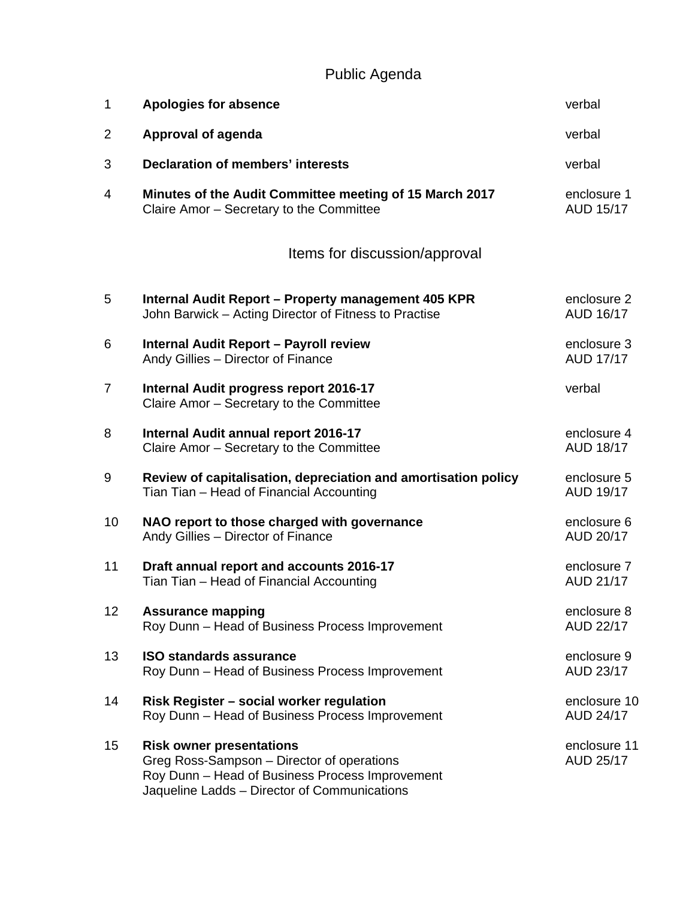Public Agenda

| 1               | <b>Apologies for absence</b>                                                                                                                                                     | verbal                          |
|-----------------|----------------------------------------------------------------------------------------------------------------------------------------------------------------------------------|---------------------------------|
| $\overline{2}$  | <b>Approval of agenda</b>                                                                                                                                                        | verbal                          |
| 3               | <b>Declaration of members' interests</b>                                                                                                                                         | verbal                          |
| 4               | Minutes of the Audit Committee meeting of 15 March 2017<br>Claire Amor - Secretary to the Committee                                                                              | enclosure 1<br><b>AUD 15/17</b> |
|                 | Items for discussion/approval                                                                                                                                                    |                                 |
| 5               | Internal Audit Report - Property management 405 KPR<br>John Barwick - Acting Director of Fitness to Practise                                                                     | enclosure 2<br>AUD 16/17        |
| 6               | <b>Internal Audit Report - Payroll review</b><br>Andy Gillies - Director of Finance                                                                                              | enclosure 3<br><b>AUD 17/17</b> |
| $\overline{7}$  | Internal Audit progress report 2016-17<br>Claire Amor - Secretary to the Committee                                                                                               | verbal                          |
| 8               | Internal Audit annual report 2016-17<br>Claire Amor - Secretary to the Committee                                                                                                 | enclosure 4<br><b>AUD 18/17</b> |
| 9               | Review of capitalisation, depreciation and amortisation policy<br>Tian Tian - Head of Financial Accounting                                                                       | enclosure 5<br><b>AUD 19/17</b> |
| 10              | NAO report to those charged with governance<br>Andy Gillies - Director of Finance                                                                                                | enclosure 6<br>AUD 20/17        |
| 11              | Draft annual report and accounts 2016-17<br>Tian Tian - Head of Financial Accounting                                                                                             | enclosure 7<br><b>AUD 21/17</b> |
| 12 <sub>2</sub> | <b>Assurance mapping</b><br>Roy Dunn - Head of Business Process Improvement                                                                                                      | enclosure 8<br>AUD 22/17        |
| 13              | <b>ISO standards assurance</b><br>Roy Dunn - Head of Business Process Improvement                                                                                                | enclosure 9<br>AUD 23/17        |
| 14              | Risk Register - social worker regulation<br>Roy Dunn - Head of Business Process Improvement                                                                                      | enclosure 10<br>AUD 24/17       |
| 15              | <b>Risk owner presentations</b><br>Greg Ross-Sampson - Director of operations<br>Roy Dunn - Head of Business Process Improvement<br>Jaqueline Ladds - Director of Communications | enclosure 11<br>AUD 25/17       |